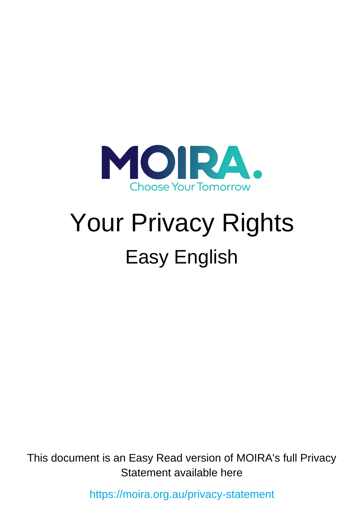

# Your Privacy Rights Easy English

This document is an Easy Read version of MOIRA's full Privacy Statement available here

<https://moira.org.au/privacy-statement>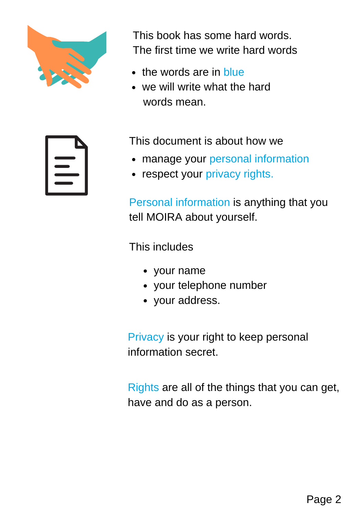

This book has some hard words. The first time we write hard words

- the words are in blue
- we will write what the hard words mean.



This document is about how we

- manage your personal information
- respect your privacy rights.

Personal information is anything that you tell MOIRA about yourself.

This includes

- your name
- your telephone number
- your address.

Privacy is your right to keep personal information secret.

Rights are all of the things that you can get, have and do as a person.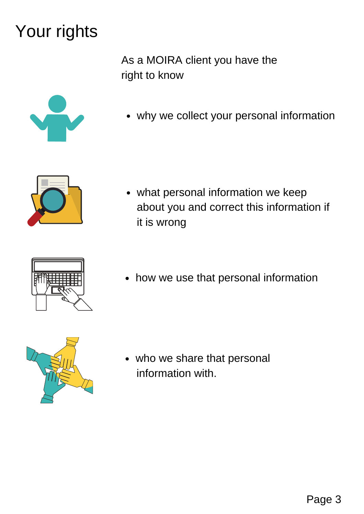### Your rights

As a MOIRA client you have the right to know





what personal information we keep about you and correct this information if it is wrong



• how we use that personal information



who we share that personal information with.

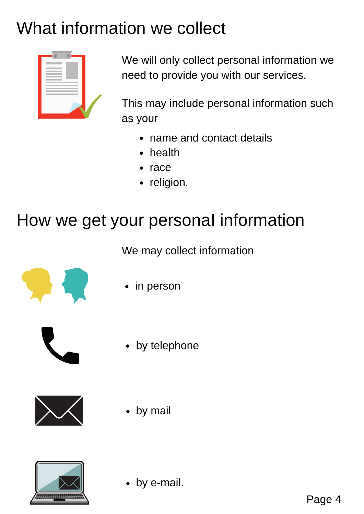## What information we collect



We will only collect personal information we need to provide you with our services.

This may include personal information such as your

- name and contact details
- health
- race
- religion.

#### How we get your personal information

We may collect information



in person



• by telephone



by mail



by e-mail.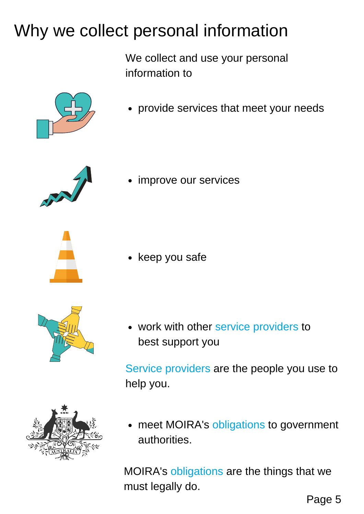### Why we collect personal information

We collect and use your personal information to



provide services that meet your needs



improve our services





keep you safe

work with other service providers to best support you

Service providers are the people you use to help you.



meet MOIRA's obligations to government  $\bullet$ authorities.

MOIRA's obligations are the things that we must legally do.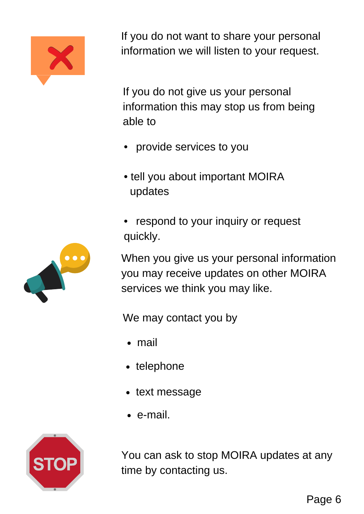

If you do not want to share your personal information we will listen to your request.

If you do not give us your personal information this may stop us from being able to

- provide services to you
- tell you about important MOIRA updates
- respond to your inquiry or request quickly.

When you give us your personal information you may receive updates on other MOIRA services we think you may like.

We may contact you by

- mail
- telephone
- text message
- e-mail.



You can ask to stop MOIRA updates at any time by contacting us.

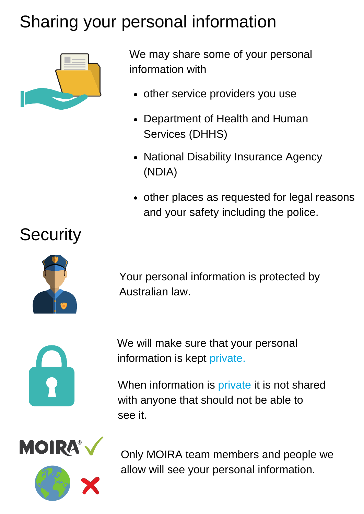## Sharing your personal information



We may share some of your personal information with

- other service providers you use
- Department of Health and Human  $\bullet$ Services (DHHS)
- National Disability Insurance Agency (NDIA)
- other places as requested for legal reasons and your safety including the police.



Your personal information is protected by Australian law.



We will make sure that your personal information is kept private.

When information is private it is not shared with anyone that should not be able to see it.



Only MOIRA team members and people we allow will see your personal information.

#### **Security**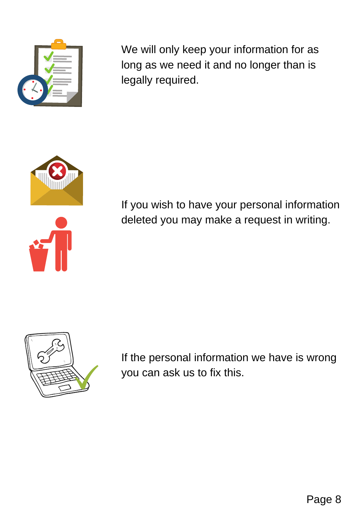

We will only keep your information for as long as we need it and no longer than is legally required.



If you wish to have your personal information deleted you may make a request in writing.



If the personal information we have is wrong you can ask us to fix this.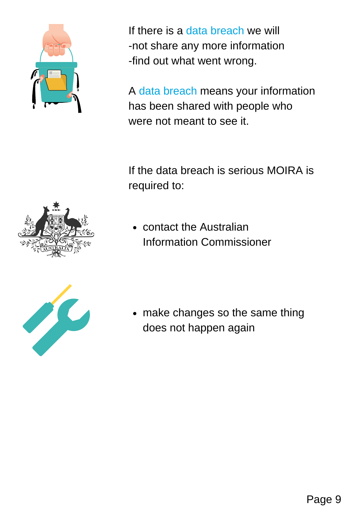

If there is a data breach we will -not share any more information -find out what went wrong.

A data breach means your information has been shared with people who were not meant to see it.

If the data breach is serious MOIRA is required to:



contact the Australian Information Commissioner



• make changes so the same thing does not happen again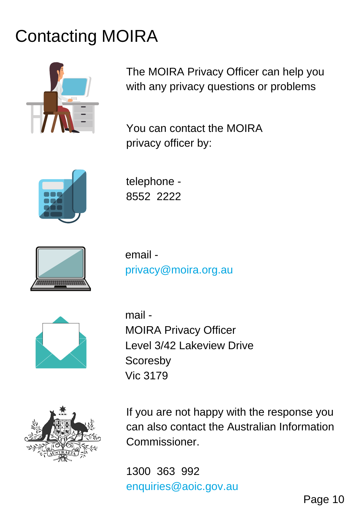# Contacting MOIRA



The MOIRA Privacy Officer can help you with any privacy questions or problems

You can contact the MOIRA privacy officer by:



telephone - 8552 2222



email privacy@moira.org.au



mail - MOIRA Privacy Officer Level 3/42 Lakeview Drive **Scoresby** Vic 3179



If you are not happy with the response you can also contact the Australian Information Commissioner.

1300 363 992 enquiries@aoic.gov.au